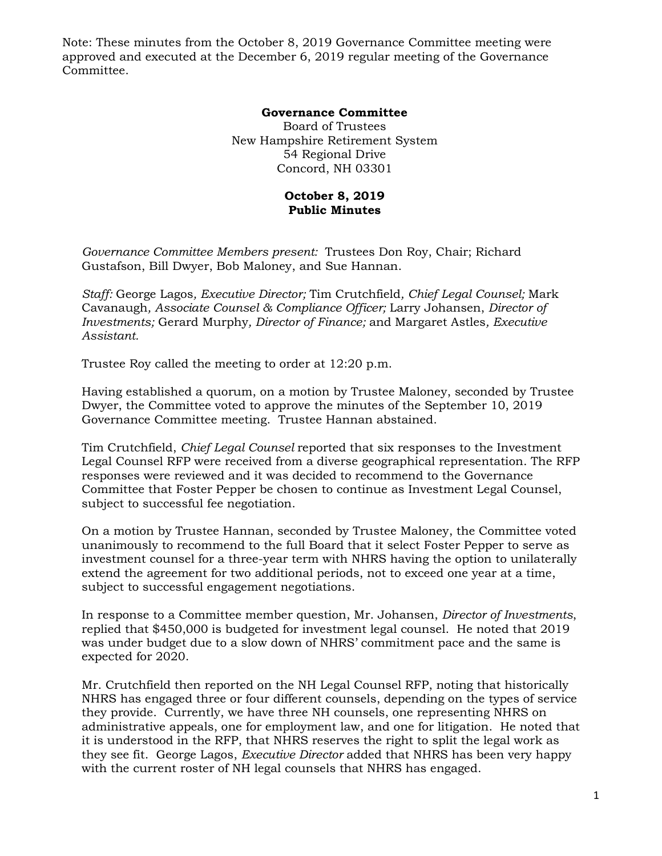Note: These minutes from the October 8, 2019 Governance Committee meeting were approved and executed at the December 6, 2019 regular meeting of the Governance Committee.

## **Governance Committee**

Board of Trustees New Hampshire Retirement System 54 Regional Drive Concord, NH 03301

## **October 8, 2019 Public Minutes**

*Governance Committee Members present:* Trustees Don Roy, Chair; Richard Gustafson, Bill Dwyer, Bob Maloney, and Sue Hannan.

*Staff:* George Lagos*, Executive Director;* Tim Crutchfield*, Chief Legal Counsel;* Mark Cavanaugh*, Associate Counsel & Compliance Officer;* Larry Johansen, *Director of Investments;* Gerard Murphy*, Director of Finance;* and Margaret Astles*, Executive Assistant.* 

Trustee Roy called the meeting to order at 12:20 p.m.

Having established a quorum, on a motion by Trustee Maloney, seconded by Trustee Dwyer, the Committee voted to approve the minutes of the September 10, 2019 Governance Committee meeting. Trustee Hannan abstained.

Tim Crutchfield, *Chief Legal Counsel* reported that six responses to the Investment Legal Counsel RFP were received from a diverse geographical representation. The RFP responses were reviewed and it was decided to recommend to the Governance Committee that Foster Pepper be chosen to continue as Investment Legal Counsel, subject to successful fee negotiation.

On a motion by Trustee Hannan, seconded by Trustee Maloney, the Committee voted unanimously to recommend to the full Board that it select Foster Pepper to serve as investment counsel for a three-year term with NHRS having the option to unilaterally extend the agreement for two additional periods, not to exceed one year at a time, subject to successful engagement negotiations.

In response to a Committee member question, Mr. Johansen, *Director of Investments*, replied that \$450,000 is budgeted for investment legal counsel. He noted that 2019 was under budget due to a slow down of NHRS' commitment pace and the same is expected for 2020.

Mr. Crutchfield then reported on the NH Legal Counsel RFP, noting that historically NHRS has engaged three or four different counsels, depending on the types of service they provide. Currently, we have three NH counsels, one representing NHRS on administrative appeals, one for employment law, and one for litigation. He noted that it is understood in the RFP, that NHRS reserves the right to split the legal work as they see fit. George Lagos, *Executive Director* added that NHRS has been very happy with the current roster of NH legal counsels that NHRS has engaged.